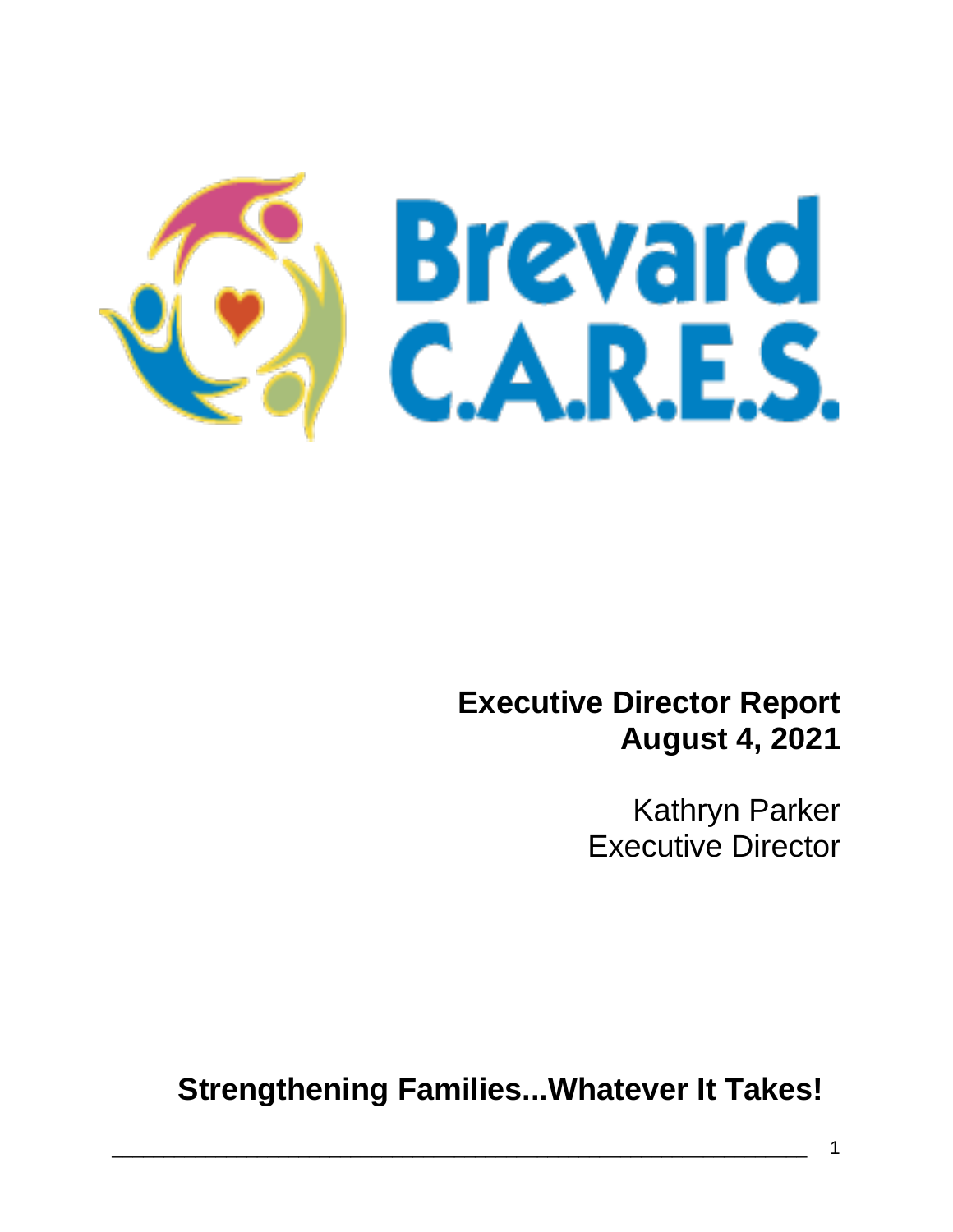

## **Executive Director Report August 4, 2021**

Kathryn Parker Executive Director

**Strengthening Families...Whatever It Takes!**

\_\_\_\_\_\_\_\_\_\_\_\_\_\_\_\_\_\_\_\_\_\_\_\_\_\_\_\_\_\_\_\_\_\_\_\_\_\_\_\_\_\_\_\_\_\_\_\_\_\_\_\_\_\_\_\_\_\_\_\_\_\_\_\_\_\_\_ 1